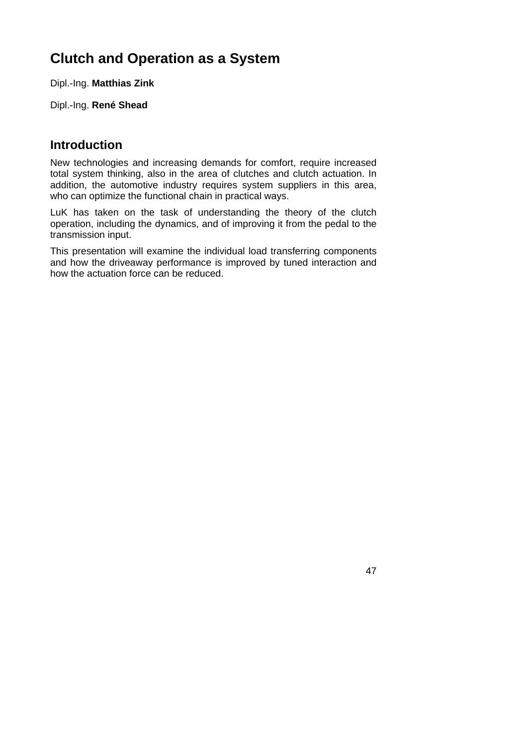# **Clutch and Operation as a System**

Dipl.-Ing. **Matthias Zink** 

Dipl.-Ing. **René Shead** 

#### **Introduction**

New technologies and increasing demands for comfort, require increased total system thinking, also in the area of clutches and clutch actuation. In addition, the automotive industry requires system suppliers in this area, who can optimize the functional chain in practical ways.

LuK has taken on the task of understanding the theory of the clutch operation, including the dynamics, and of improving it from the pedal to the transmission input.

This presentation will examine the individual load transferring components and how the driveaway performance is improved by tuned interaction and how the actuation force can be reduced.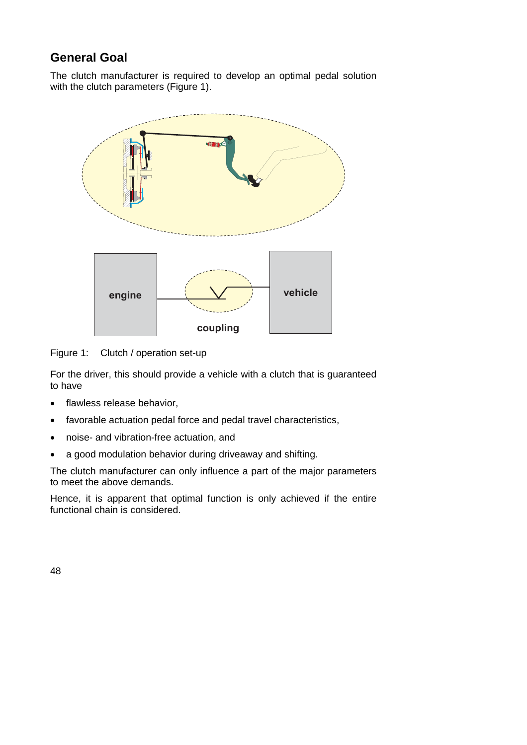# **General Goal**

The clutch manufacturer is required to develop an optimal pedal solution with the clutch parameters (Figure 1).



Figure 1: Clutch / operation set-up

For the driver, this should provide a vehicle with a clutch that is guaranteed to have

- flawless release behavior,
- favorable actuation pedal force and pedal travel characteristics,
- noise- and vibration-free actuation, and
- a good modulation behavior during driveaway and shifting.

The clutch manufacturer can only influence a part of the major parameters to meet the above demands.

Hence, it is apparent that optimal function is only achieved if the entire functional chain is considered.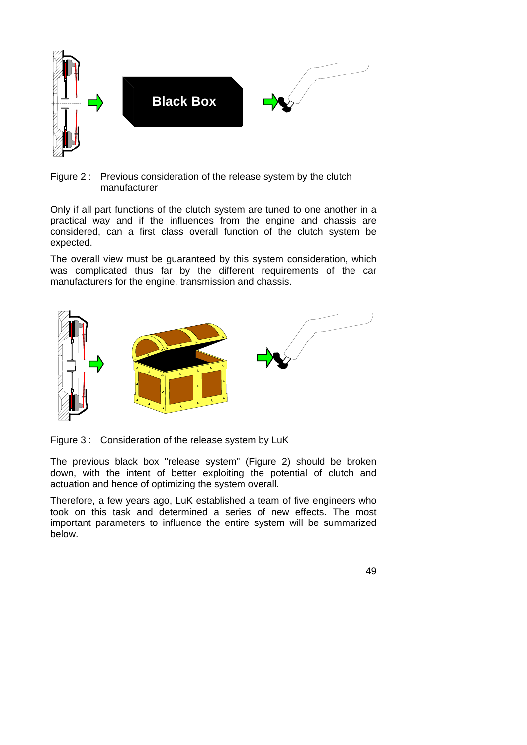



Only if all part functions of the clutch system are tuned to one another in a practical way and if the influences from the engine and chassis are considered, can a first class overall function of the clutch system be expected.

The overall view must be guaranteed by this system consideration, which was complicated thus far by the different requirements of the car manufacturers for the engine, transmission and chassis.



Figure 3 : Consideration of the release system by LuK

The previous black box "release system" (Figure 2) should be broken down, with the intent of better exploiting the potential of clutch and actuation and hence of optimizing the system overall.

Therefore, a few years ago, LuK established a team of five engineers who took on this task and determined a series of new effects. The most important parameters to influence the entire system will be summarized below.

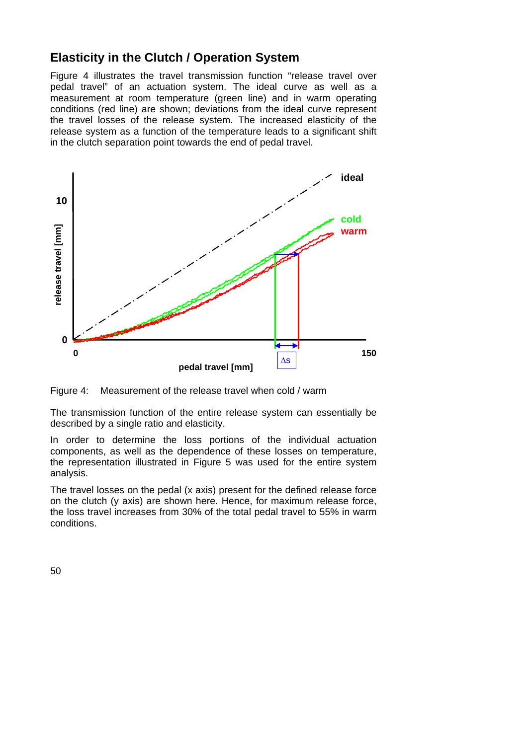### **Elasticity in the Clutch / Operation System**

Figure 4 illustrates the travel transmission function "release travel over pedal travel" of an actuation system. The ideal curve as well as a measurement at room temperature (green line) and in warm operating conditions (red line) are shown; deviations from the ideal curve represent the travel losses of the release system. The increased elasticity of the release system as a function of the temperature leads to a significant shift in the clutch separation point towards the end of pedal travel.



Figure 4: Measurement of the release travel when cold / warm

The transmission function of the entire release system can essentially be described by a single ratio and elasticity.

In order to determine the loss portions of the individual actuation components, as well as the dependence of these losses on temperature, the representation illustrated in Figure 5 was used for the entire system analysis.

The travel losses on the pedal (x axis) present for the defined release force on the clutch (y axis) are shown here. Hence, for maximum release force, the loss travel increases from 30% of the total pedal travel to 55% in warm conditions.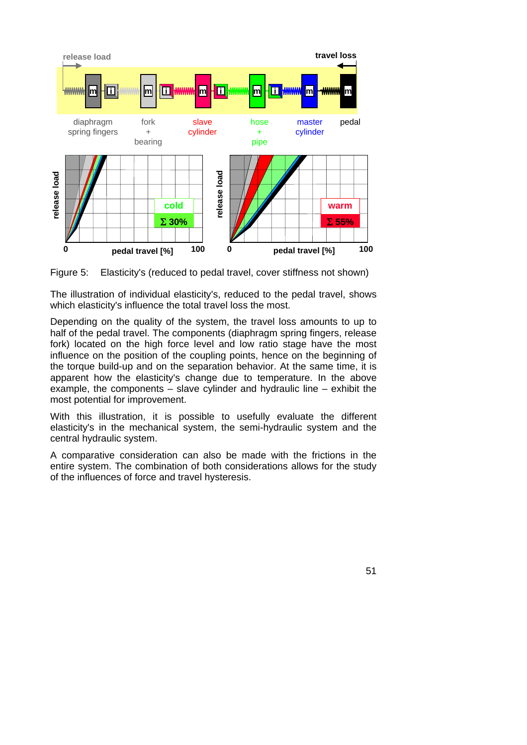

Figure 5: Elasticity's (reduced to pedal travel, cover stiffness not shown)

The illustration of individual elasticity's, reduced to the pedal travel, shows which elasticity's influence the total travel loss the most.

Depending on the quality of the system, the travel loss amounts to up to half of the pedal travel. The components (diaphragm spring fingers, release fork) located on the high force level and low ratio stage have the most influence on the position of the coupling points, hence on the beginning of the torque build-up and on the separation behavior. At the same time, it is apparent how the elasticity's change due to temperature. In the above example, the components – slave cylinder and hydraulic line – exhibit the most potential for improvement.

With this illustration, it is possible to usefully evaluate the different elasticity's in the mechanical system, the semi-hydraulic system and the central hydraulic system.

A comparative consideration can also be made with the frictions in the entire system. The combination of both considerations allows for the study of the influences of force and travel hysteresis.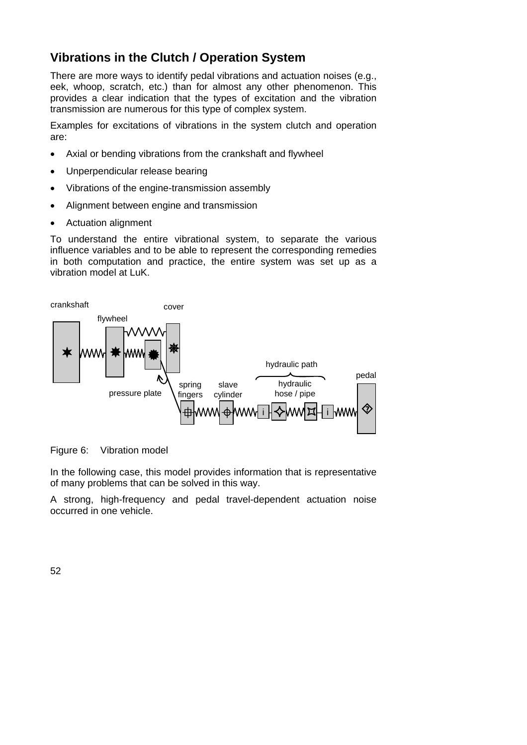# **Vibrations in the Clutch / Operation System**

There are more ways to identify pedal vibrations and actuation noises (e.g., eek, whoop, scratch, etc.) than for almost any other phenomenon. This provides a clear indication that the types of excitation and the vibration transmission are numerous for this type of complex system.

Examples for excitations of vibrations in the system clutch and operation are:

- Axial or bending vibrations from the crankshaft and flywheel
- Unperpendicular release bearing
- Vibrations of the engine-transmission assembly
- Alignment between engine and transmission
- Actuation alignment

To understand the entire vibrational system, to separate the various influence variables and to be able to represent the corresponding remedies in both computation and practice, the entire system was set up as a vibration model at LuK.



#### Figure 6: Vibration model

In the following case, this model provides information that is representative of many problems that can be solved in this way.

A strong, high-frequency and pedal travel-dependent actuation noise occurred in one vehicle.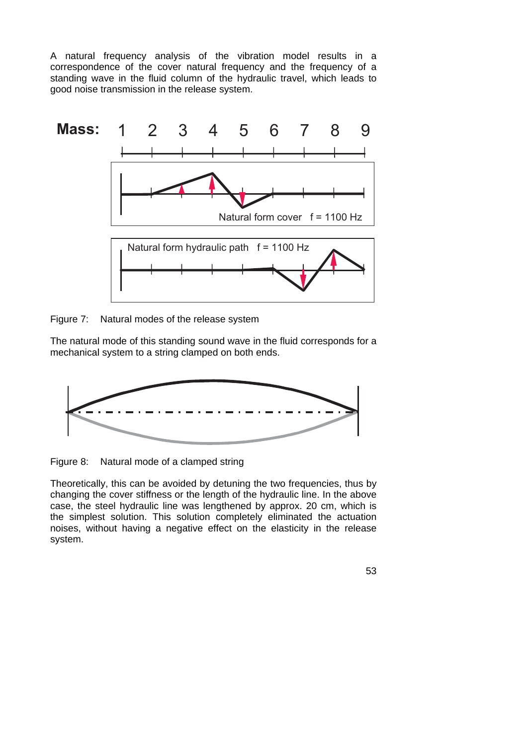A natural frequency analysis of the vibration model results in a correspondence of the cover natural frequency and the frequency of a standing wave in the fluid column of the hydraulic travel, which leads to good noise transmission in the release system.



Figure 7: Natural modes of the release system

The natural mode of this standing sound wave in the fluid corresponds for a mechanical system to a string clamped on both ends.



Figure 8: Natural mode of a clamped string

Theoretically, this can be avoided by detuning the two frequencies, thus by changing the cover stiffness or the length of the hydraulic line. In the above case, the steel hydraulic line was lengthened by approx. 20 cm, which is the simplest solution. This solution completely eliminated the actuation noises, without having a negative effect on the elasticity in the release system.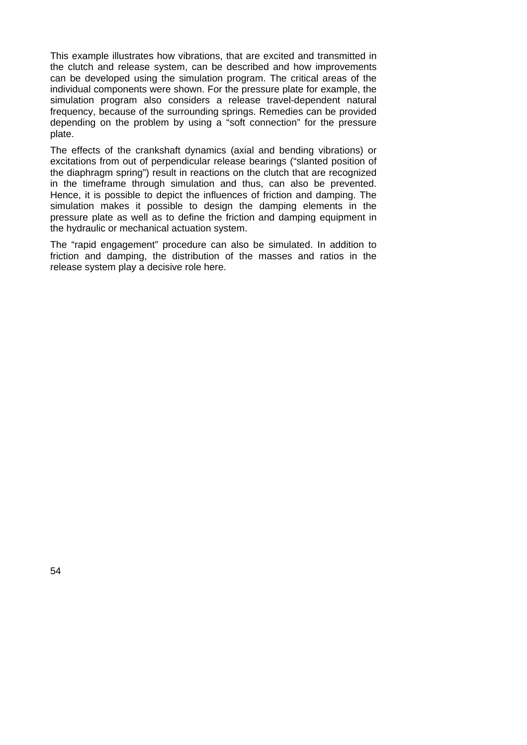This example illustrates how vibrations, that are excited and transmitted in the clutch and release system, can be described and how improvements can be developed using the simulation program. The critical areas of the individual components were shown. For the pressure plate for example, the simulation program also considers a release travel-dependent natural frequency, because of the surrounding springs. Remedies can be provided depending on the problem by using a "soft connection" for the pressure plate.

The effects of the crankshaft dynamics (axial and bending vibrations) or excitations from out of perpendicular release bearings ("slanted position of the diaphragm spring") result in reactions on the clutch that are recognized in the timeframe through simulation and thus, can also be prevented. Hence, it is possible to depict the influences of friction and damping. The simulation makes it possible to design the damping elements in the pressure plate as well as to define the friction and damping equipment in the hydraulic or mechanical actuation system.

The "rapid engagement" procedure can also be simulated. In addition to friction and damping, the distribution of the masses and ratios in the release system play a decisive role here.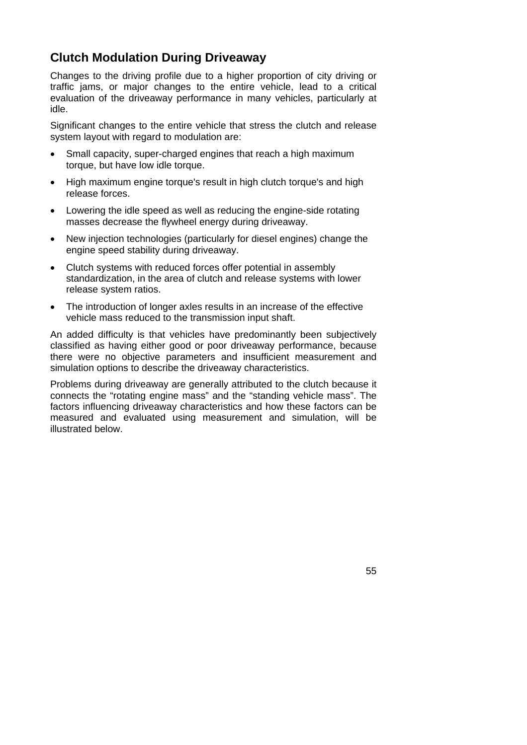## **Clutch Modulation During Driveaway**

Changes to the driving profile due to a higher proportion of city driving or traffic jams, or major changes to the entire vehicle, lead to a critical evaluation of the driveaway performance in many vehicles, particularly at idle.

Significant changes to the entire vehicle that stress the clutch and release system layout with regard to modulation are:

- Small capacity, super-charged engines that reach a high maximum torque, but have low idle torque.
- High maximum engine torque's result in high clutch torque's and high release forces.
- Lowering the idle speed as well as reducing the engine-side rotating masses decrease the flywheel energy during driveaway.
- New injection technologies (particularly for diesel engines) change the engine speed stability during driveaway.
- Clutch systems with reduced forces offer potential in assembly standardization, in the area of clutch and release systems with lower release system ratios.
- The introduction of longer axles results in an increase of the effective vehicle mass reduced to the transmission input shaft.

An added difficulty is that vehicles have predominantly been subjectively classified as having either good or poor driveaway performance, because there were no objective parameters and insufficient measurement and simulation options to describe the driveaway characteristics.

Problems during driveaway are generally attributed to the clutch because it connects the "rotating engine mass" and the "standing vehicle mass". The factors influencing driveaway characteristics and how these factors can be measured and evaluated using measurement and simulation, will be illustrated below.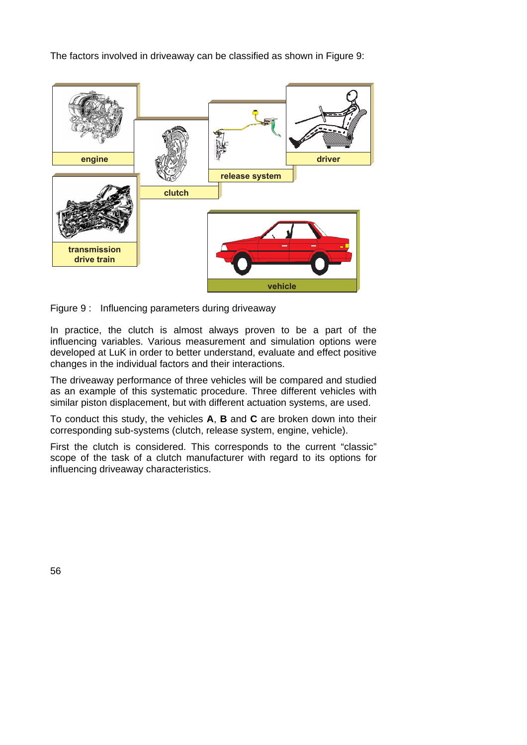The factors involved in driveaway can be classified as shown in Figure 9:



Figure 9 : Influencing parameters during driveaway

In practice, the clutch is almost always proven to be a part of the influencing variables. Various measurement and simulation options were developed at LuK in order to better understand, evaluate and effect positive changes in the individual factors and their interactions.

The driveaway performance of three vehicles will be compared and studied as an example of this systematic procedure. Three different vehicles with similar piston displacement, but with different actuation systems, are used.

To conduct this study, the vehicles **A**, **B** and **C** are broken down into their corresponding sub-systems (clutch, release system, engine, vehicle).

First the clutch is considered. This corresponds to the current "classic" scope of the task of a clutch manufacturer with regard to its options for influencing driveaway characteristics.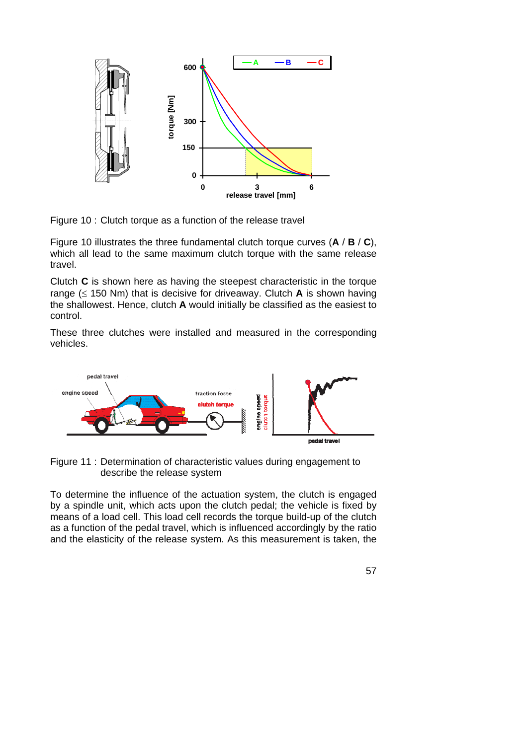

Figure 10 : Clutch torque as a function of the release travel

Figure 10 illustrates the three fundamental clutch torque curves (**A** / **B** / **C**), which all lead to the same maximum clutch torque with the same release travel.

Clutch **C** is shown here as having the steepest characteristic in the torque range (≤ 150 Nm) that is decisive for driveaway. Clutch **A** is shown having the shallowest. Hence, clutch **A** would initially be classified as the easiest to control.

These three clutches were installed and measured in the corresponding vehicles.



Figure 11 : Determination of characteristic values during engagement to describe the release system

To determine the influence of the actuation system, the clutch is engaged by a spindle unit, which acts upon the clutch pedal; the vehicle is fixed by means of a load cell. This load cell records the torque build-up of the clutch as a function of the pedal travel, which is influenced accordingly by the ratio and the elasticity of the release system. As this measurement is taken, the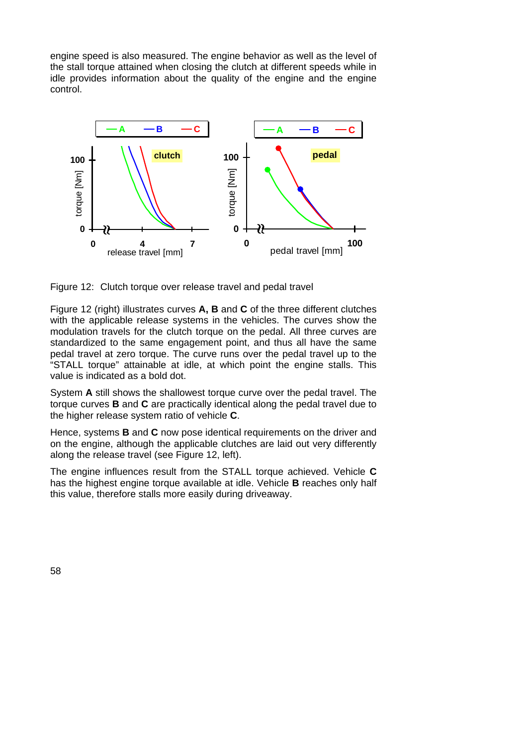engine speed is also measured. The engine behavior as well as the level of the stall torque attained when closing the clutch at different speeds while in idle provides information about the quality of the engine and the engine control.



Figure 12: Clutch torque over release travel and pedal travel

Figure 12 (right) illustrates curves **A, B** and **C** of the three different clutches with the applicable release systems in the vehicles. The curves show the modulation travels for the clutch torque on the pedal. All three curves are standardized to the same engagement point, and thus all have the same pedal travel at zero torque. The curve runs over the pedal travel up to the "STALL torque" attainable at idle, at which point the engine stalls. This value is indicated as a bold dot.

System **A** still shows the shallowest torque curve over the pedal travel. The torque curves **B** and **C** are practically identical along the pedal travel due to the higher release system ratio of vehicle **C**.

Hence, systems **B** and **C** now pose identical requirements on the driver and on the engine, although the applicable clutches are laid out very differently along the release travel (see Figure 12, left).

The engine influences result from the STALL torque achieved. Vehicle **C** has the highest engine torque available at idle. Vehicle **B** reaches only half this value, therefore stalls more easily during driveaway.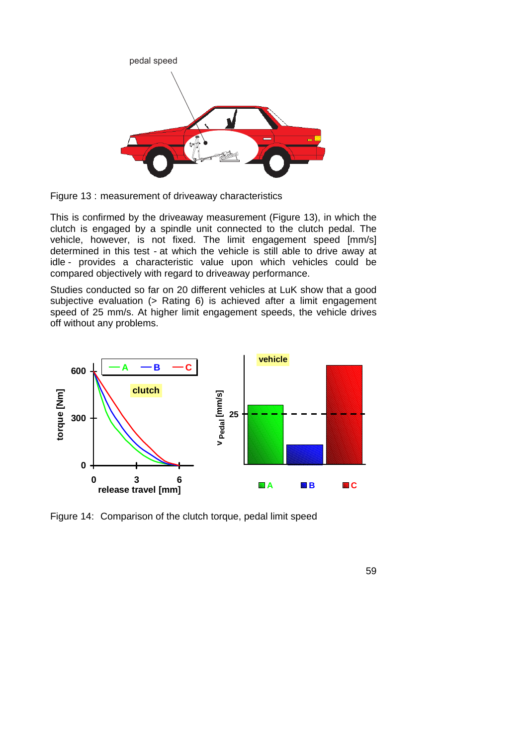

Figure 13 : measurement of driveaway characteristics

This is confirmed by the driveaway measurement (Figure 13), in which the clutch is engaged by a spindle unit connected to the clutch pedal. The vehicle, however, is not fixed. The limit engagement speed [mm/s] determined in this test - at which the vehicle is still able to drive away at idle - provides a characteristic value upon which vehicles could be compared objectively with regard to driveaway performance.

Studies conducted so far on 20 different vehicles at LuK show that a good subjective evaluation (> Rating 6) is achieved after a limit engagement speed of 25 mm/s. At higher limit engagement speeds, the vehicle drives off without any problems.



Figure 14: Comparison of the clutch torque, pedal limit speed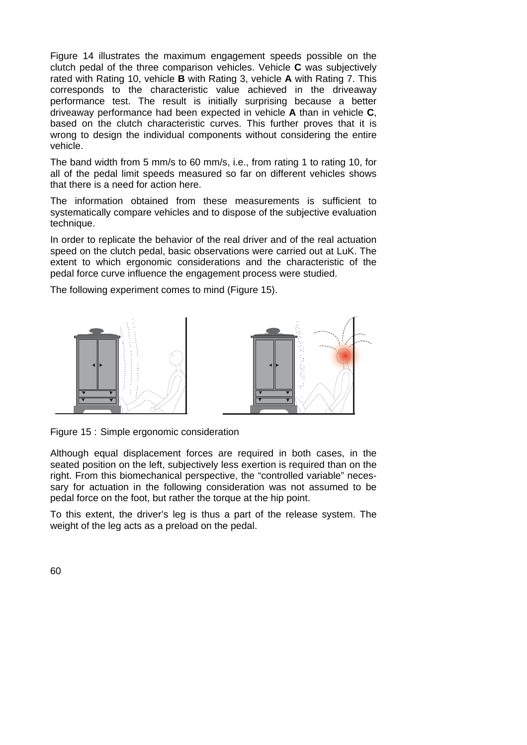Figure 14 illustrates the maximum engagement speeds possible on the clutch pedal of the three comparison vehicles. Vehicle **C** was subjectively rated with Rating 10, vehicle **B** with Rating 3, vehicle **A** with Rating 7. This corresponds to the characteristic value achieved in the driveaway performance test. The result is initially surprising because a better driveaway performance had been expected in vehicle **A** than in vehicle **C**, based on the clutch characteristic curves. This further proves that it is wrong to design the individual components without considering the entire vehicle.

The band width from 5 mm/s to 60 mm/s, i.e., from rating 1 to rating 10, for all of the pedal limit speeds measured so far on different vehicles shows that there is a need for action here.

The information obtained from these measurements is sufficient to systematically compare vehicles and to dispose of the subjective evaluation technique.

In order to replicate the behavior of the real driver and of the real actuation speed on the clutch pedal, basic observations were carried out at LuK. The extent to which ergonomic considerations and the characteristic of the pedal force curve influence the engagement process were studied.

The following experiment comes to mind (Figure 15).



Figure 15 : Simple ergonomic consideration

Although equal displacement forces are required in both cases, in the seated position on the left, subjectively less exertion is required than on the right. From this biomechanical perspective, the "controlled variable" necessary for actuation in the following consideration was not assumed to be pedal force on the foot, but rather the torque at the hip point.

To this extent, the driver's leg is thus a part of the release system. The weight of the leg acts as a preload on the pedal.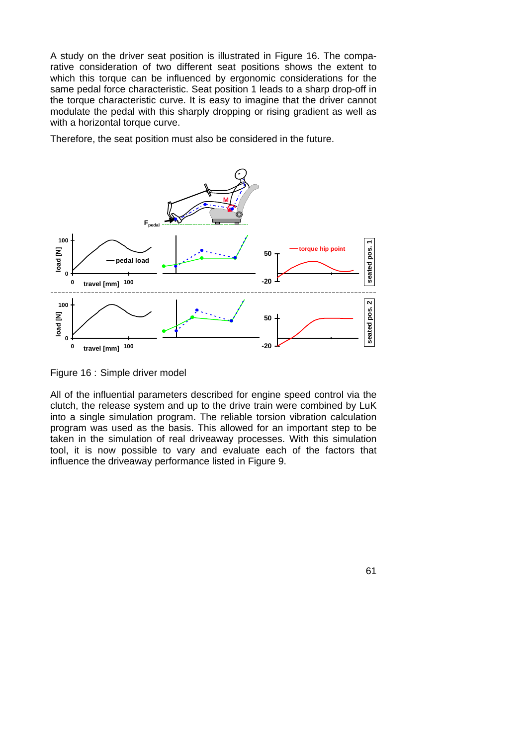A study on the driver seat position is illustrated in Figure 16. The comparative consideration of two different seat positions shows the extent to which this torque can be influenced by ergonomic considerations for the same pedal force characteristic. Seat position 1 leads to a sharp drop-off in the torque characteristic curve. It is easy to imagine that the driver cannot modulate the pedal with this sharply dropping or rising gradient as well as with a horizontal torque curve.

Therefore, the seat position must also be considered in the future.



Figure 16 : Simple driver model

All of the influential parameters described for engine speed control via the clutch, the release system and up to the drive train were combined by LuK into a single simulation program. The reliable torsion vibration calculation program was used as the basis. This allowed for an important step to be taken in the simulation of real driveaway processes. With this simulation tool, it is now possible to vary and evaluate each of the factors that influence the driveaway performance listed in Figure 9.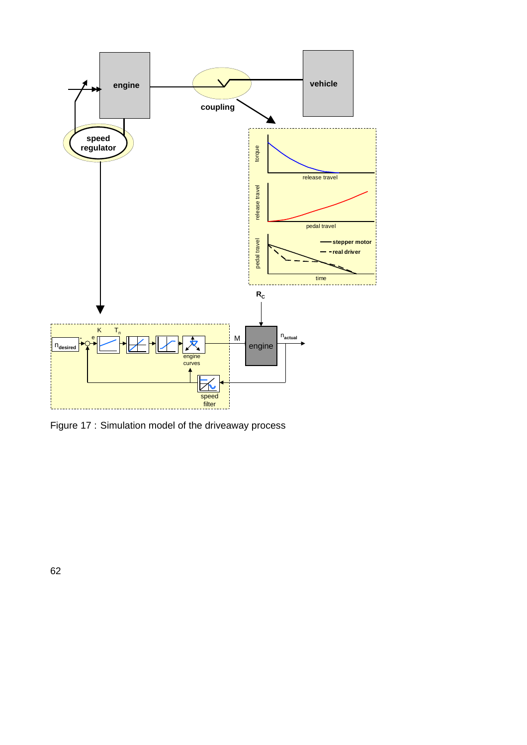

Figure 17 : Simulation model of the driveaway process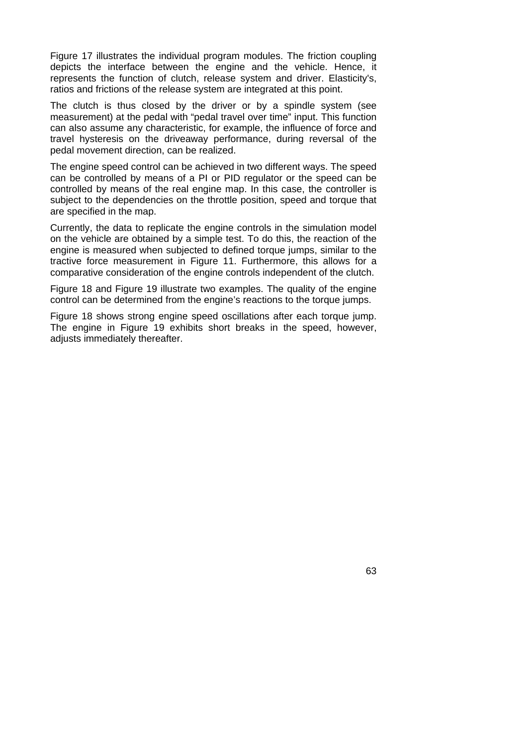Figure 17 illustrates the individual program modules. The friction coupling depicts the interface between the engine and the vehicle. Hence, it represents the function of clutch, release system and driver. Elasticity's, ratios and frictions of the release system are integrated at this point.

The clutch is thus closed by the driver or by a spindle system (see measurement) at the pedal with "pedal travel over time" input. This function can also assume any characteristic, for example, the influence of force and travel hysteresis on the driveaway performance, during reversal of the pedal movement direction, can be realized.

The engine speed control can be achieved in two different ways. The speed can be controlled by means of a PI or PID regulator or the speed can be controlled by means of the real engine map. In this case, the controller is subject to the dependencies on the throttle position, speed and torque that are specified in the map.

Currently, the data to replicate the engine controls in the simulation model on the vehicle are obtained by a simple test. To do this, the reaction of the engine is measured when subjected to defined torque jumps, similar to the tractive force measurement in Figure 11. Furthermore, this allows for a comparative consideration of the engine controls independent of the clutch.

Figure 18 and Figure 19 illustrate two examples. The quality of the engine control can be determined from the engine's reactions to the torque jumps.

Figure 18 shows strong engine speed oscillations after each torque jump. The engine in Figure 19 exhibits short breaks in the speed, however, adjusts immediately thereafter.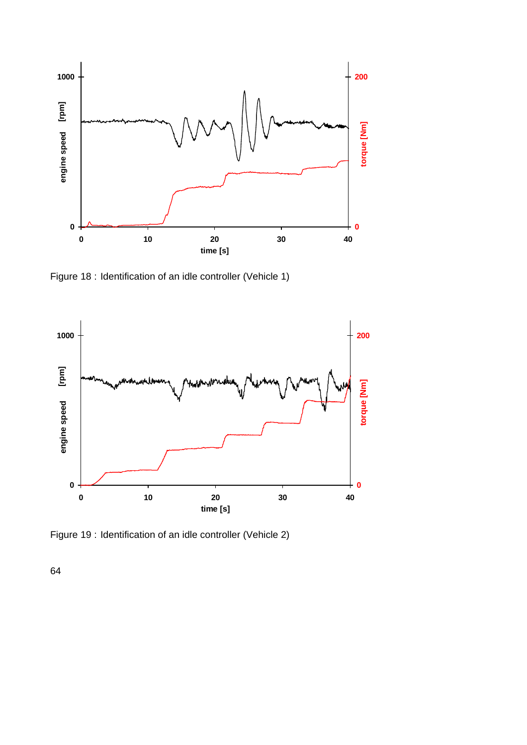

Figure 18 : Identification of an idle controller (Vehicle 1)



Figure 19 : Identification of an idle controller (Vehicle 2)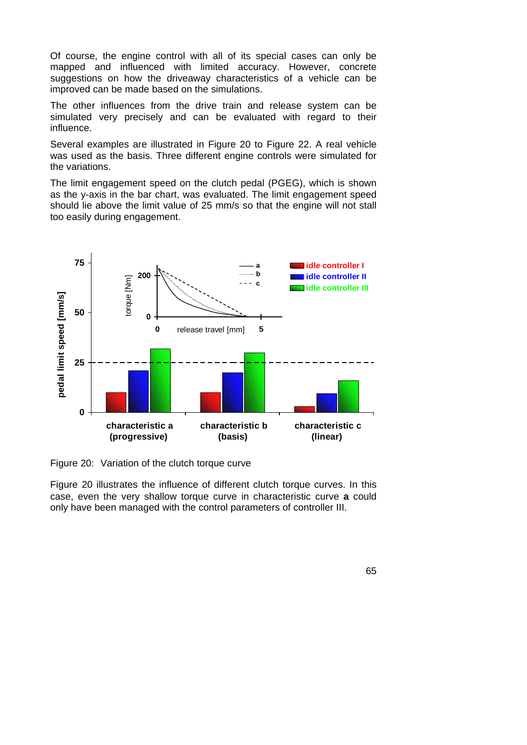Of course, the engine control with all of its special cases can only be mapped and influenced with limited accuracy. However, concrete suggestions on how the driveaway characteristics of a vehicle can be improved can be made based on the simulations.

The other influences from the drive train and release system can be simulated very precisely and can be evaluated with regard to their influence.

Several examples are illustrated in Figure 20 to Figure 22. A real vehicle was used as the basis. Three different engine controls were simulated for the variations.

The limit engagement speed on the clutch pedal (PGEG), which is shown as the y-axis in the bar chart, was evaluated. The limit engagement speed should lie above the limit value of 25 mm/s so that the engine will not stall too easily during engagement.



Figure 20: Variation of the clutch torque curve

Figure 20 illustrates the influence of different clutch torque curves. In this case, even the very shallow torque curve in characteristic curve **a** could only have been managed with the control parameters of controller III.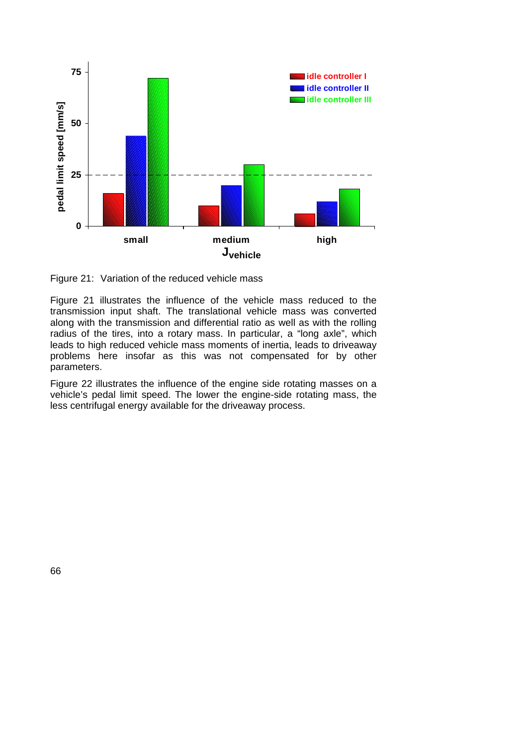

Figure 21: Variation of the reduced vehicle mass

Figure 21 illustrates the influence of the vehicle mass reduced to the transmission input shaft. The translational vehicle mass was converted along with the transmission and differential ratio as well as with the rolling radius of the tires, into a rotary mass. In particular, a "long axle", which leads to high reduced vehicle mass moments of inertia, leads to driveaway problems here insofar as this was not compensated for by other parameters.

Figure 22 illustrates the influence of the engine side rotating masses on a vehicle's pedal limit speed. The lower the engine-side rotating mass, the less centrifugal energy available for the driveaway process.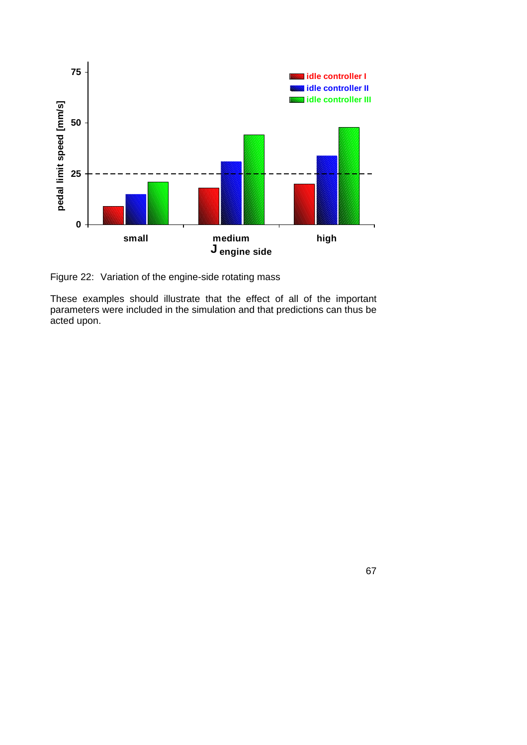

Figure 22: Variation of the engine-side rotating mass

These examples should illustrate that the effect of all of the important parameters were included in the simulation and that predictions can thus be acted upon.